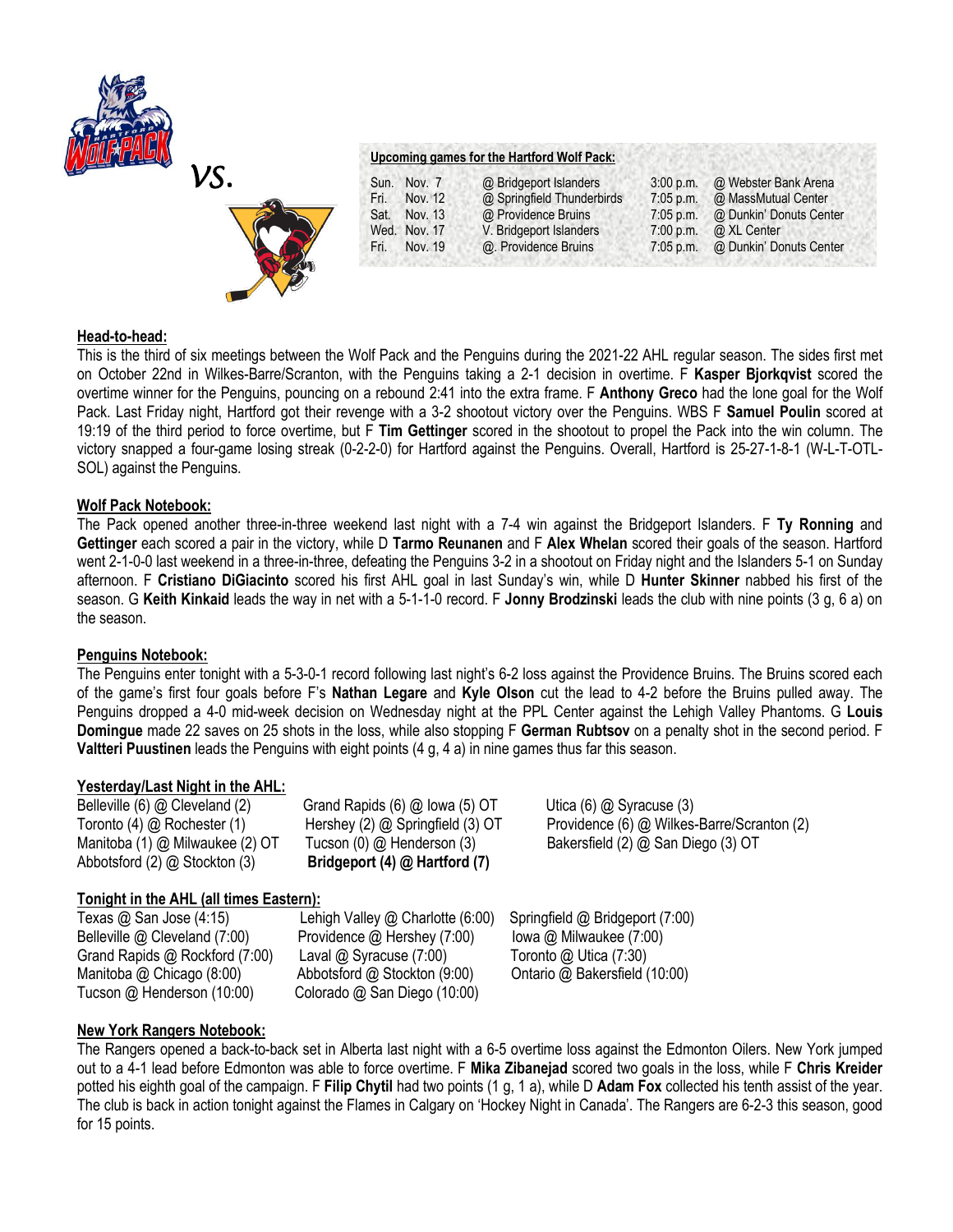



#### **Upcoming games for the Hartford Wolf Pack:**

| Sun. Nov. 7     | @ Bridgeport Islanders     | 3:00 p.m.   | @ Webster Bank Arena    |
|-----------------|----------------------------|-------------|-------------------------|
| Nov. 12<br>Fri. | @ Springfield Thunderbirds | 7:05 p.m.   | @ MassMutual Center     |
| Sat.<br>Nov. 13 | @ Providence Bruins        | $7:05$ p.m. | @ Dunkin' Donuts Center |
| Wed. Nov. 17    | V. Bridgeport Islanders    | 7:00 p.m.   | @ XL Center             |
| Nov. 19<br>Fri. | @. Providence Bruins       | $7:05$ p.m. | @ Dunkin' Donuts Center |

#### **Head-to-head:**

This is the third of six meetings between the Wolf Pack and the Penguins during the 2021-22 AHL regular season. The sides first met on October 22nd in Wilkes-Barre/Scranton, with the Penguins taking a 2-1 decision in overtime. F **Kasper Bjorkqvist** scored the overtime winner for the Penguins, pouncing on a rebound 2:41 into the extra frame. F **Anthony Greco** had the lone goal for the Wolf Pack. Last Friday night, Hartford got their revenge with a 3-2 shootout victory over the Penguins. WBS F **Samuel Poulin** scored at 19:19 of the third period to force overtime, but F **Tim Gettinger** scored in the shootout to propel the Pack into the win column. The victory snapped a four-game losing streak (0-2-2-0) for Hartford against the Penguins. Overall, Hartford is 25-27-1-8-1 (W-L-T-OTL-SOL) against the Penguins.

# **Wolf Pack Notebook:**

The Pack opened another three-in-three weekend last night with a 7-4 win against the Bridgeport Islanders. F **Ty Ronning** and **Gettinger** each scored a pair in the victory, while D **Tarmo Reunanen** and F **Alex Whelan** scored their goals of the season. Hartford went 2-1-0-0 last weekend in a three-in-three, defeating the Penguins 3-2 in a shootout on Friday night and the Islanders 5-1 on Sunday afternoon. F **Cristiano DiGiacinto** scored his first AHL goal in last Sunday's win, while D **Hunter Skinner** nabbed his first of the season. G **Keith Kinkaid** leads the way in net with a 5-1-1-0 record. F **Jonny Brodzinski** leads the club with nine points (3 g, 6 a) on the season.

# **Penguins Notebook:**

The Penguins enter tonight with a 5-3-0-1 record following last night's 6-2 loss against the Providence Bruins. The Bruins scored each of the game's first four goals before F's **Nathan Legare** and **Kyle Olson** cut the lead to 4-2 before the Bruins pulled away. The Penguins dropped a 4-0 mid-week decision on Wednesday night at the PPL Center against the Lehigh Valley Phantoms. G **Louis Domingue** made 22 saves on 25 shots in the loss, while also stopping F **German Rubtsov** on a penalty shot in the second period. F **Valtteri Puustinen** leads the Penguins with eight points (4 g, 4 a) in nine games thus far this season.

# **Yesterday/Last Night in the AHL:**

Belleville (6) @ Cleveland (2)Grand Rapids (6) @ Iowa (5) OT Utica (6) @ Syracuse (3) Abbotsford (2) @ Stockton (3) **Bridgeport (4) @ Hartford (7)**

Toronto (4) @ Rochester (1)Hershey (2) @ Springfield (3) OT Providence (6) @ Wilkes-Barre/Scranton (2) Manitoba (1) @ Milwaukee (2) OT Tucson (0) @ Henderson (3) Bakersfield (2) @ San Diego (3) OT

# **Tonight in the AHL (all times Eastern):**

Texas @ San Jose (4:15)Lehigh Valley @ Charlotte (6:00) Springfield @ Bridgeport (7:00) Belleville @ Cleveland (7:00)Providence @ Hershey (7:00) Iowa @ Milwaukee (7:00) Grand Rapids @ Rockford (7:00) Laval @ Syracuse (7:00) Toronto @ Utica (7:30) Manitoba @ Chicago (8:00) Abbotsford @ Stockton (9:00) Ontario @ Bakersfield (10:00) Tucson @ Henderson (10:00) Colorado @ San Diego (10:00)

# **New York Rangers Notebook:**

The Rangers opened a back-to-back set in Alberta last night with a 6-5 overtime loss against the Edmonton Oilers. New York jumped out to a 4-1 lead before Edmonton was able to force overtime. F **Mika Zibanejad** scored two goals in the loss, while F **Chris Kreider**  potted his eighth goal of the campaign. F **Filip Chytil** had two points (1 g, 1 a), while D **Adam Fox** collected his tenth assist of the year. The club is back in action tonight against the Flames in Calgary on 'Hockey Night in Canada'. The Rangers are 6-2-3 this season, good for 15 points.